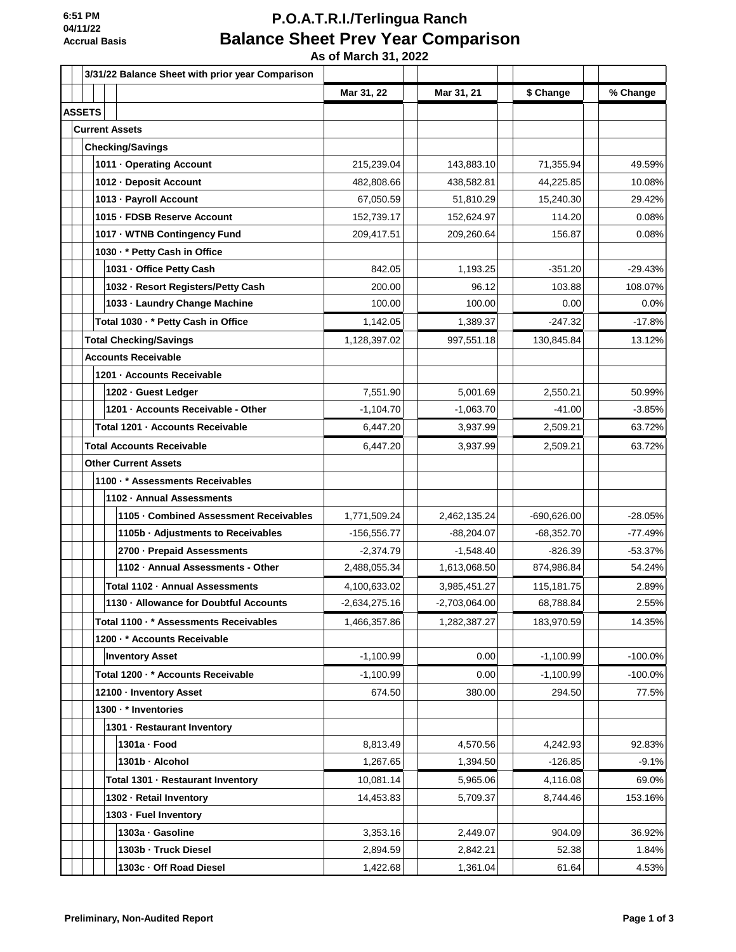# **P.O.A.T.R.I./Terlingua Ranch Balance Sheet Prev Year Comparison**

 **As of March 31, 2022**

|               | 3/31/22 Balance Sheet with prior year Comparison |                 |               |               |           |
|---------------|--------------------------------------------------|-----------------|---------------|---------------|-----------|
|               |                                                  | Mar 31, 22      | Mar 31, 21    | \$ Change     | % Change  |
| <b>ASSETS</b> |                                                  |                 |               |               |           |
|               | <b>Current Assets</b>                            |                 |               |               |           |
|               | <b>Checking/Savings</b>                          |                 |               |               |           |
|               | 1011 - Operating Account                         | 215,239.04      | 143,883.10    | 71,355.94     | 49.59%    |
|               | 1012 - Deposit Account                           | 482,808.66      | 438,582.81    | 44,225.85     | 10.08%    |
|               | 1013 - Payroll Account                           | 67,050.59       | 51,810.29     | 15,240.30     | 29.42%    |
|               | 1015 - FDSB Reserve Account                      | 152,739.17      | 152,624.97    | 114.20        | 0.08%     |
|               | 1017 - WTNB Contingency Fund                     | 209,417.51      | 209,260.64    | 156.87        | 0.08%     |
|               | 1030 · * Petty Cash in Office                    |                 |               |               |           |
|               | 1031 - Office Petty Cash                         | 842.05          | 1,193.25      | $-351.20$     | $-29.43%$ |
|               | 1032 - Resort Registers/Petty Cash               | 200.00          | 96.12         | 103.88        | 108.07%   |
|               | 1033 - Laundry Change Machine                    | 100.00          | 100.00        | 0.00          | 0.0%      |
|               | Total 1030 · * Petty Cash in Office              | 1,142.05        | 1,389.37      | $-247.32$     | $-17.8%$  |
|               | <b>Total Checking/Savings</b>                    | 1,128,397.02    | 997,551.18    | 130,845.84    | 13.12%    |
|               | <b>Accounts Receivable</b>                       |                 |               |               |           |
|               | 1201 - Accounts Receivable                       |                 |               |               |           |
|               | 1202 - Guest Ledger                              | 7,551.90        | 5,001.69      | 2,550.21      | 50.99%    |
|               | 1201 - Accounts Receivable - Other               | $-1,104.70$     | $-1,063.70$   | $-41.00$      | $-3.85%$  |
|               | Total 1201 - Accounts Receivable                 | 6,447.20        | 3,937.99      | 2,509.21      | 63.72%    |
|               | <b>Total Accounts Receivable</b>                 | 6,447.20        | 3,937.99      | 2,509.21      | 63.72%    |
|               | <b>Other Current Assets</b>                      |                 |               |               |           |
|               | 1100 · * Assessments Receivables                 |                 |               |               |           |
|               | 1102 - Annual Assessments                        |                 |               |               |           |
|               | 1105 - Combined Assessment Receivables           | 1,771,509.24    | 2,462,135.24  | $-690,626.00$ | $-28.05%$ |
|               | 1105b · Adjustments to Receivables               | $-156.556.77$   | -88,204.07    | -68,352.70    | $-77.49%$ |
|               | 2700 - Prepaid Assessments                       | $-2,374.79$     | $-1,548.40$   | $-826.39$     | $-53.37%$ |
|               | 1102 · Annual Assessments - Other                | 2,488,055.34    | 1,613,068.50  | 874,986.84    | 54.24%    |
|               | Total 1102 · Annual Assessments                  | 4,100,633.02    | 3,985,451.27  | 115,181.75    | 2.89%     |
|               | 1130 - Allowance for Doubtful Accounts           | $-2,634,275.16$ | -2,703,064.00 | 68,788.84     | 2.55%     |
|               | Total 1100 · * Assessments Receivables           | 1,466,357.86    | 1,282,387.27  | 183,970.59    | 14.35%    |
|               | 1200 · * Accounts Receivable                     |                 |               |               |           |
|               | <b>Inventory Asset</b>                           | $-1,100.99$     | 0.00          | $-1,100.99$   | $-100.0%$ |
|               | Total 1200 · * Accounts Receivable               | $-1,100.99$     | 0.00          | $-1,100.99$   | $-100.0%$ |
|               | 12100 - Inventory Asset                          | 674.50          | 380.00        | 294.50        | 77.5%     |
|               | 1300 · * Inventories                             |                 |               |               |           |
|               | 1301 - Restaurant Inventory                      |                 |               |               |           |
|               | 1301a - Food                                     | 8,813.49        | 4,570.56      | 4,242.93      | 92.83%    |
|               | 1301b - Alcohol                                  | 1,267.65        | 1,394.50      | $-126.85$     | $-9.1%$   |
|               | Total 1301 - Restaurant Inventory                | 10,081.14       | 5,965.06      | 4,116.08      | 69.0%     |
|               | 1302 - Retail Inventory                          | 14,453.83       | 5,709.37      | 8,744.46      | 153.16%   |
|               | 1303 - Fuel Inventory                            |                 |               |               |           |
|               | 1303a - Gasoline                                 | 3,353.16        | 2,449.07      | 904.09        | 36.92%    |
|               | 1303b - Truck Diesel                             | 2,894.59        | 2,842.21      | 52.38         | 1.84%     |
|               | 1303c · Off Road Diesel                          | 1,422.68        | 1,361.04      | 61.64         | 4.53%     |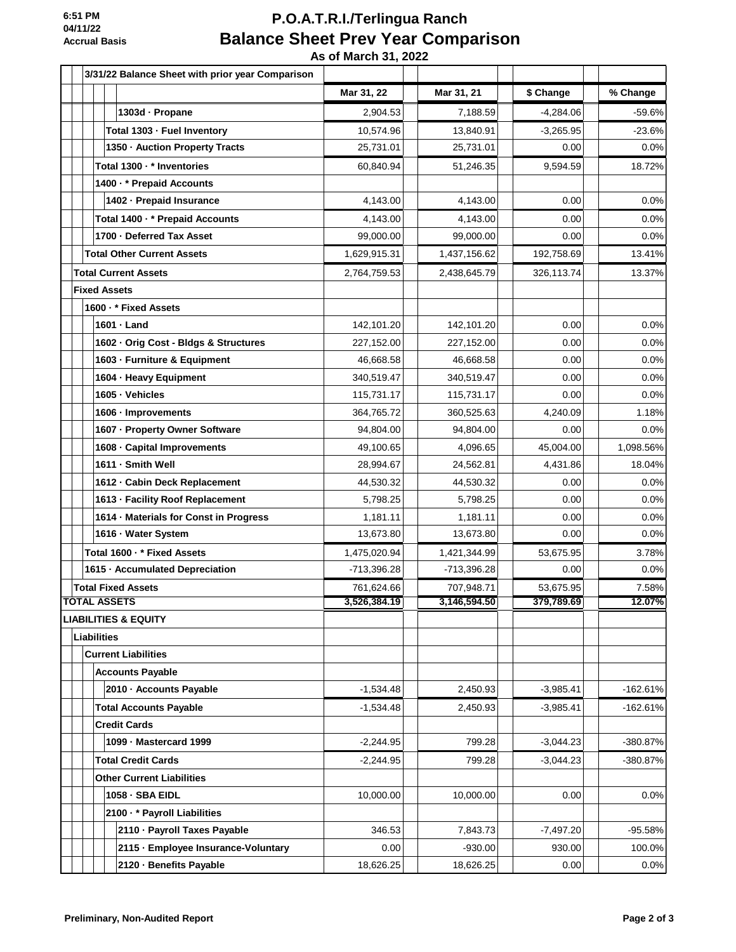## **P.O.A.T.R.I./Terlingua Ranch Balance Sheet Prev Year Comparison**

 **As of March 31, 2022**

| 3/31/22 Balance Sheet with prior year Comparison |               |               |             |            |
|--------------------------------------------------|---------------|---------------|-------------|------------|
|                                                  | Mar 31, 22    | Mar 31, 21    | \$ Change   | % Change   |
| 1303d · Propane                                  | 2,904.53      | 7,188.59      | $-4,284.06$ | $-59.6%$   |
| Total 1303 - Fuel Inventory                      | 10,574.96     | 13,840.91     | $-3,265.95$ | $-23.6%$   |
| 1350 - Auction Property Tracts                   | 25,731.01     | 25,731.01     | 0.00        | 0.0%       |
| Total 1300 · * Inventories                       | 60,840.94     | 51,246.35     | 9,594.59    | 18.72%     |
| 1400 · * Prepaid Accounts                        |               |               |             |            |
| 1402 - Prepaid Insurance                         | 4,143.00      | 4,143.00      | 0.00        | 0.0%       |
| Total 1400 · * Prepaid Accounts                  | 4.143.00      | 4,143.00      | 0.00        | 0.0%       |
| 1700 - Deferred Tax Asset                        | 99,000.00     | 99,000.00     | 0.00        | 0.0%       |
| <b>Total Other Current Assets</b>                | 1,629,915.31  | 1,437,156.62  | 192,758.69  | 13.41%     |
| <b>Total Current Assets</b>                      | 2,764,759.53  | 2,438,645.79  | 326,113.74  | 13.37%     |
| <b>Fixed Assets</b>                              |               |               |             |            |
| 1600 · * Fixed Assets                            |               |               |             |            |
| 1601 - Land                                      | 142,101.20    | 142,101.20    | 0.00        | 0.0%       |
| 1602 - Orig Cost - Bldgs & Structures            | 227,152.00    | 227,152.00    | 0.00        | 0.0%       |
| 1603 - Furniture & Equipment                     | 46,668.58     | 46,668.58     | 0.00        | 0.0%       |
| 1604 - Heavy Equipment                           | 340,519.47    | 340,519.47    | 0.00        | 0.0%       |
| 1605 · Vehicles                                  | 115,731.17    | 115,731.17    | 0.00        | 0.0%       |
| 1606 · Improvements                              | 364,765.72    | 360,525.63    | 4,240.09    | 1.18%      |
| 1607 - Property Owner Software                   | 94,804.00     | 94,804.00     | 0.00        | 0.0%       |
| 1608 - Capital Improvements                      | 49,100.65     | 4,096.65      | 45,004.00   | 1,098.56%  |
| 1611 - Smith Well                                | 28,994.67     | 24,562.81     | 4,431.86    | 18.04%     |
| 1612 - Cabin Deck Replacement                    | 44,530.32     | 44,530.32     | 0.00        | 0.0%       |
| 1613 - Facility Roof Replacement                 | 5,798.25      | 5,798.25      | 0.00        | 0.0%       |
| 1614 · Materials for Const in Progress           | 1,181.11      | 1,181.11      | 0.00        | 0.0%       |
| 1616 · Water System                              | 13,673.80     | 13,673.80     | 0.00        | 0.0%       |
| Total 1600 · * Fixed Assets                      | 1,475,020.94  | 1,421,344.99  | 53,675.95   | 3.78%      |
| 1615 · Accumulated Depreciation                  | $-713,396.28$ | $-713,396.28$ | 0.00        | 0.0%       |
| <b>Total Fixed Assets</b>                        | 761,624.66    | 707,948.71    | 53,675.95   | 7.58%      |
| <b>TOTAL ASSETS</b>                              | 3,526,384.19  | 3,146,594.50  | 379,789.69  | 12.07%     |
| <b>LIABILITIES &amp; EQUITY</b>                  |               |               |             |            |
| <b>Liabilities</b>                               |               |               |             |            |
| <b>Current Liabilities</b>                       |               |               |             |            |
| <b>Accounts Payable</b>                          |               |               |             |            |
| 2010 - Accounts Payable                          | $-1,534.48$   | 2,450.93      | $-3,985.41$ | $-162.61%$ |
| <b>Total Accounts Payable</b>                    | $-1,534.48$   | 2,450.93      | $-3,985.41$ | $-162.61%$ |
| <b>Credit Cards</b>                              |               |               |             |            |
| 1099 - Mastercard 1999                           | $-2,244.95$   | 799.28        | $-3,044.23$ | -380.87%   |
| <b>Total Credit Cards</b>                        | $-2,244.95$   | 799.28        | $-3,044.23$ | -380.87%   |
| <b>Other Current Liabilities</b>                 |               |               |             |            |
| 1058 - SBA EIDL                                  | 10,000.00     | 10,000.00     | 0.00        | 0.0%       |
| 2100 · * Payroll Liabilities                     |               |               |             |            |
| 2110 · Payroll Taxes Payable                     | 346.53        | 7,843.73      | $-7,497.20$ | -95.58%    |
| 2115 - Employee Insurance-Voluntary              | 0.00          | $-930.00$     | 930.00      | 100.0%     |
| 2120 - Benefits Payable                          | 18,626.25     | 18,626.25     | 0.00        | 0.0%       |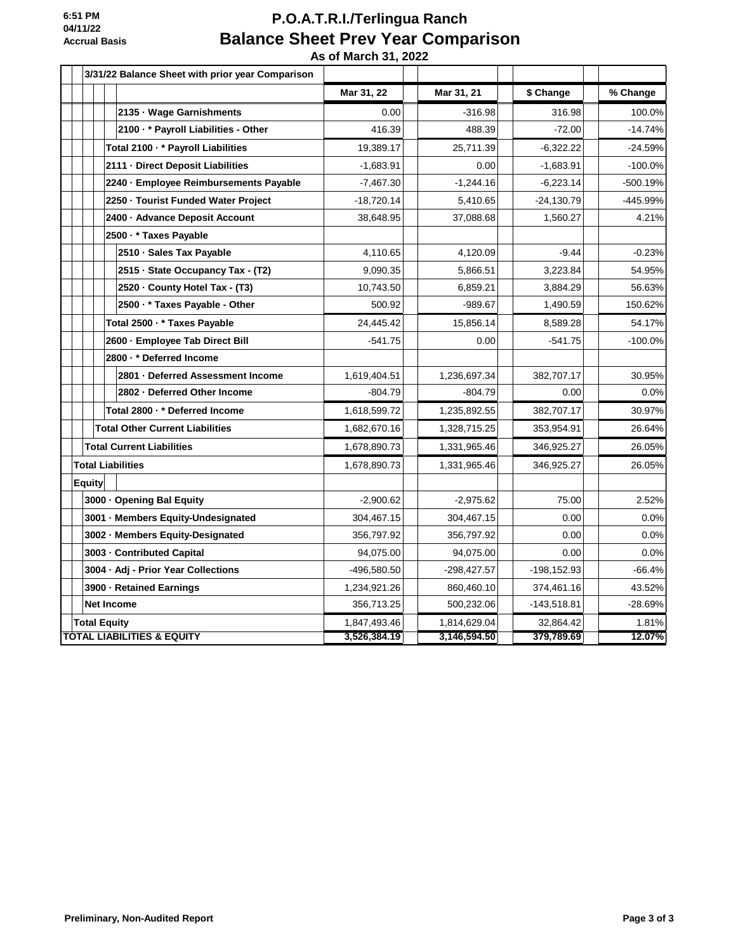## **P.O.A.T.R.I./Terlingua Ranch Balance Sheet Prev Year Comparison**

 **As of March 31, 2022**

| 3/31/22 Balance Sheet with prior year Comparison |              |               |               |            |
|--------------------------------------------------|--------------|---------------|---------------|------------|
|                                                  | Mar 31, 22   | Mar 31, 21    | \$ Change     | % Change   |
| 2135 · Wage Garnishments                         | 0.00         | $-316.98$     | 316.98        | 100.0%     |
| 2100 · * Payroll Liabilities - Other             | 416.39       | 488.39        | $-72.00$      | $-14.74%$  |
| Total 2100 · * Payroll Liabilities               | 19,389.17    | 25,711.39     | $-6,322.22$   | $-24.59%$  |
| 2111 - Direct Deposit Liabilities                | $-1,683.91$  | 0.00          | $-1,683.91$   | $-100.0%$  |
| 2240 - Employee Reimbursements Payable           | $-7,467.30$  | $-1,244.16$   | $-6,223.14$   | $-500.19%$ |
| 2250 · Tourist Funded Water Project              | -18,720.14   | 5,410.65      | $-24,130.79$  | -445.99%   |
| 2400 - Advance Deposit Account                   | 38,648.95    | 37,088.68     | 1,560.27      | 4.21%      |
| 2500 · * Taxes Payable                           |              |               |               |            |
| 2510 · Sales Tax Payable                         | 4,110.65     | 4,120.09      | $-9.44$       | $-0.23%$   |
| 2515 · State Occupancy Tax - (T2)                | 9,090.35     | 5,866.51      | 3,223.84      | 54.95%     |
| 2520 · County Hotel Tax - (T3)                   | 10,743.50    | 6,859.21      | 3,884.29      | 56.63%     |
| 2500 · * Taxes Payable - Other                   | 500.92       | $-989.67$     | 1,490.59      | 150.62%    |
| Total 2500 · * Taxes Payable                     | 24,445.42    | 15,856.14     | 8,589.28      | 54.17%     |
| 2600 - Employee Tab Direct Bill                  | $-541.75$    | 0.00          | $-541.75$     | $-100.0%$  |
| 2800 · * Deferred Income                         |              |               |               |            |
| 2801 · Deferred Assessment Income                | 1,619,404.51 | 1,236,697.34  | 382,707.17    | 30.95%     |
| 2802 - Deferred Other Income                     | $-804.79$    | $-804.79$     | 0.00          | 0.0%       |
| Total 2800 · * Deferred Income                   | 1,618,599.72 | 1,235,892.55  | 382,707.17    | 30.97%     |
| <b>Total Other Current Liabilities</b>           | 1,682,670.16 | 1,328,715.25  | 353,954.91    | 26.64%     |
| <b>Total Current Liabilities</b>                 | 1,678,890.73 | 1,331,965.46  | 346,925.27    | 26.05%     |
| <b>Total Liabilities</b>                         | 1,678,890.73 | 1,331,965.46  | 346,925.27    | 26.05%     |
| <b>Equity</b>                                    |              |               |               |            |
| 3000 - Opening Bal Equity                        | $-2,900.62$  | $-2,975.62$   | 75.00         | 2.52%      |
| 3001 · Members Equity-Undesignated               | 304,467.15   | 304,467.15    | 0.00          | 0.0%       |
| 3002 - Members Equity-Designated                 | 356,797.92   | 356,797.92    | 0.00          | 0.0%       |
| 3003 - Contributed Capital                       | 94,075.00    | 94,075.00     | 0.00          | 0.0%       |
| 3004 · Adj - Prior Year Collections              | -496,580.50  | $-298,427.57$ | -198,152.93   | $-66.4%$   |
| 3900 - Retained Earnings                         | 1,234,921.26 | 860,460.10    | 374,461.16    | 43.52%     |
| <b>Net Income</b>                                | 356,713.25   | 500,232.06    | $-143,518.81$ | $-28.69%$  |
| <b>Total Equity</b>                              | 1,847,493.46 | 1,814,629.04  | 32,864.42     | 1.81%      |
| <b>TOTAL LIABILITIES &amp; EQUITY</b>            | 3,526,384.19 | 3,146,594.50  | 379,789.69    | 12.07%     |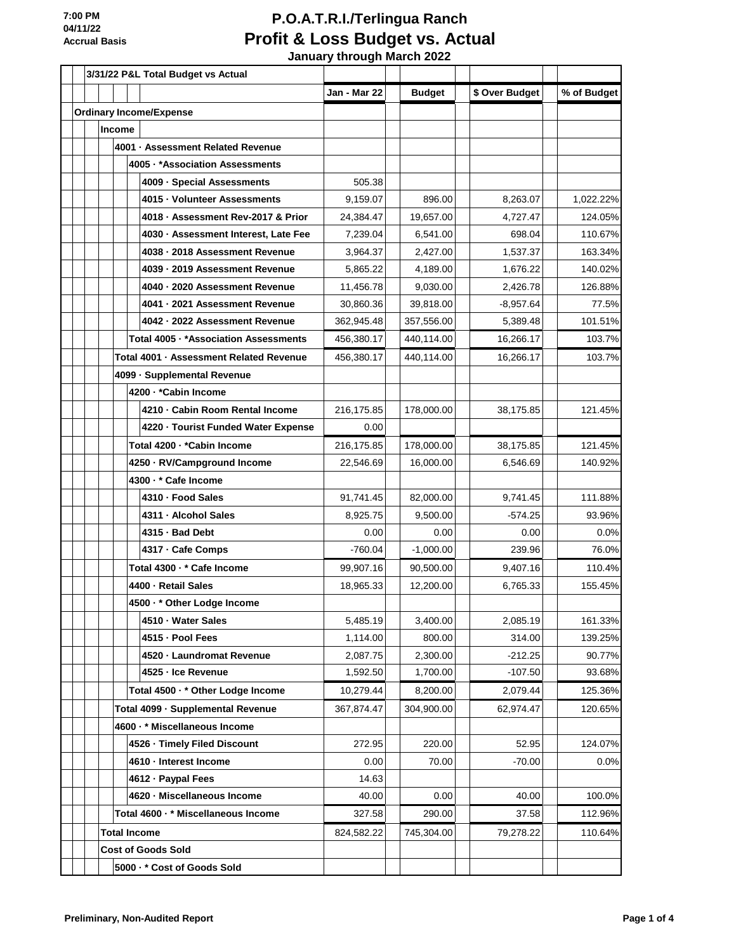|  | 3/31/22 P&L Total Budget vs Actual |        |                                         |              |               |                |             |
|--|------------------------------------|--------|-----------------------------------------|--------------|---------------|----------------|-------------|
|  |                                    |        |                                         | Jan - Mar 22 | <b>Budget</b> | \$ Over Budget | % of Budget |
|  |                                    |        | <b>Ordinary Income/Expense</b>          |              |               |                |             |
|  |                                    | Income |                                         |              |               |                |             |
|  |                                    |        | 4001 · Assessment Related Revenue       |              |               |                |             |
|  |                                    |        | 4005 · * Association Assessments        |              |               |                |             |
|  |                                    |        | 4009 - Special Assessments              | 505.38       |               |                |             |
|  |                                    |        | 4015 · Volunteer Assessments            | 9.159.07     | 896.00        | 8,263.07       | 1,022.22%   |
|  |                                    |        | 4018 · Assessment Rev-2017 & Prior      | 24,384.47    | 19,657.00     | 4,727.47       | 124.05%     |
|  |                                    |        | 4030 · Assessment Interest, Late Fee    | 7,239.04     | 6,541.00      | 698.04         | 110.67%     |
|  |                                    |        | 4038 · 2018 Assessment Revenue          | 3,964.37     | 2,427.00      | 1,537.37       | 163.34%     |
|  |                                    |        | 4039 - 2019 Assessment Revenue          | 5,865.22     | 4,189.00      | 1,676.22       | 140.02%     |
|  |                                    |        | 4040 · 2020 Assessment Revenue          | 11,456.78    | 9,030.00      | 2,426.78       | 126.88%     |
|  |                                    |        | 4041 · 2021 Assessment Revenue          | 30,860.36    | 39,818.00     | $-8,957.64$    | 77.5%       |
|  |                                    |        | 4042 · 2022 Assessment Revenue          | 362,945.48   | 357,556.00    | 5,389.48       | 101.51%     |
|  |                                    |        | Total 4005 · *Association Assessments   | 456,380.17   | 440,114.00    | 16,266.17      | 103.7%      |
|  |                                    |        | Total 4001 · Assessment Related Revenue | 456,380.17   | 440,114.00    | 16,266.17      | 103.7%      |
|  |                                    |        | 4099 - Supplemental Revenue             |              |               |                |             |
|  |                                    |        | 4200 · * Cabin Income                   |              |               |                |             |
|  |                                    |        | 4210 - Cabin Room Rental Income         | 216,175.85   | 178,000.00    | 38,175.85      | 121.45%     |
|  |                                    |        | 4220 · Tourist Funded Water Expense     | 0.00         |               |                |             |
|  |                                    |        | Total 4200 - *Cabin Income              | 216,175.85   | 178,000.00    | 38,175.85      | 121.45%     |
|  |                                    |        | 4250 · RV/Campground Income             | 22,546.69    | 16,000.00     | 6,546.69       | 140.92%     |
|  |                                    |        | 4300 · * Cafe Income                    |              |               |                |             |
|  |                                    |        | 4310 - Food Sales                       | 91,741.45    | 82,000.00     | 9,741.45       | 111.88%     |
|  |                                    |        | 4311 - Alcohol Sales                    | 8,925.75     | 9,500.00      | $-574.25$      | 93.96%      |
|  |                                    |        | 4315 - Bad Debt                         | 0.00         | 0.00          | 0.00           | 0.0%        |
|  |                                    |        | 4317 - Cafe Comps                       | $-760.04$    | $-1,000.00$   | 239.96         | 76.0%       |
|  |                                    |        | Total 4300 · * Cafe Income              | 99,907.16    | 90,500.00     | 9,407.16       | 110.4%      |
|  |                                    |        | 4400 - Retail Sales                     | 18,965.33    | 12,200.00     | 6,765.33       | 155.45%     |
|  |                                    |        | 4500 · * Other Lodge Income             |              |               |                |             |
|  |                                    |        | 4510 · Water Sales                      | 5,485.19     | 3,400.00      | 2,085.19       | 161.33%     |
|  |                                    |        | 4515 - Pool Fees                        | 1,114.00     | 800.00        | 314.00         | 139.25%     |
|  |                                    |        | 4520 - Laundromat Revenue               | 2,087.75     | 2,300.00      | $-212.25$      | 90.77%      |
|  |                                    |        | 4525 - Ice Revenue                      | 1,592.50     | 1,700.00      | $-107.50$      | 93.68%      |
|  |                                    |        | Total 4500 · * Other Lodge Income       | 10,279.44    | 8,200.00      | 2,079.44       | 125.36%     |
|  |                                    |        | Total 4099 - Supplemental Revenue       | 367,874.47   | 304,900.00    | 62,974.47      | 120.65%     |
|  |                                    |        | 4600 · * Miscellaneous Income           |              |               |                |             |
|  |                                    |        | 4526 - Timely Filed Discount            | 272.95       | 220.00        | 52.95          | 124.07%     |
|  |                                    |        | 4610 - Interest Income                  | 0.00         | 70.00         | $-70.00$       | 0.0%        |
|  |                                    |        | 4612 · Paypal Fees                      | 14.63        |               |                |             |
|  |                                    |        | 4620 · Miscellaneous Income             | 40.00        | 0.00          | 40.00          | 100.0%      |
|  |                                    |        | Total 4600 · * Miscellaneous Income     | 327.58       | 290.00        | 37.58          | 112.96%     |
|  |                                    |        | <b>Total Income</b>                     | 824,582.22   | 745,304.00    | 79,278.22      | 110.64%     |
|  |                                    |        | <b>Cost of Goods Sold</b>               |              |               |                |             |
|  |                                    |        | 5000 · * Cost of Goods Sold             |              |               |                |             |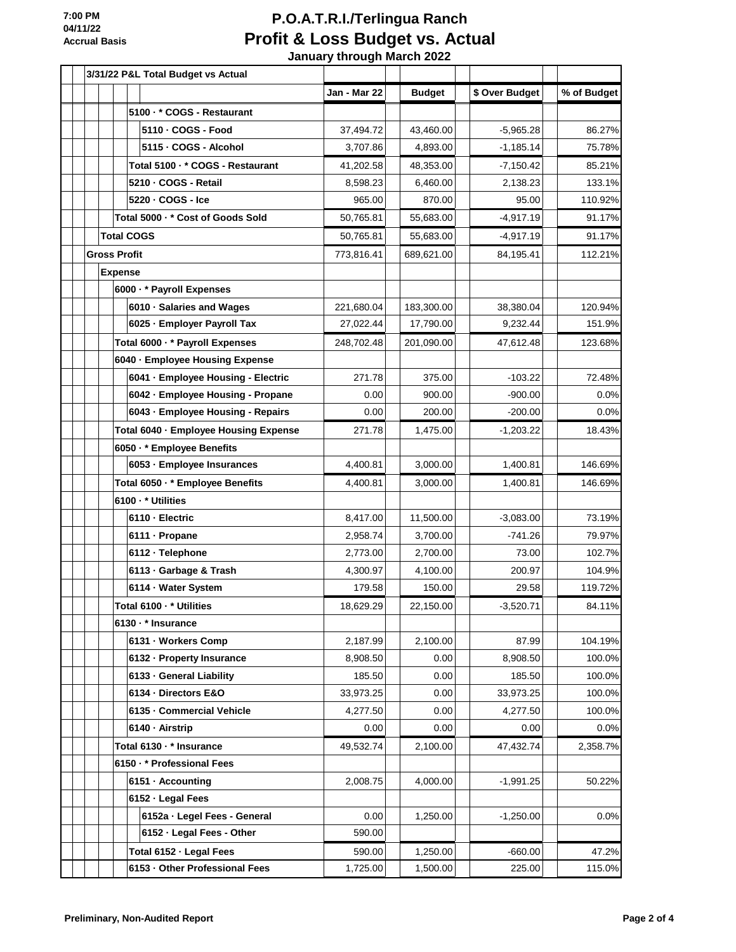|  |  | 3/31/22 P&L Total Budget vs Actual    |              |               |                |             |
|--|--|---------------------------------------|--------------|---------------|----------------|-------------|
|  |  |                                       | Jan - Mar 22 | <b>Budget</b> | \$ Over Budget | % of Budget |
|  |  | 5100 · * COGS - Restaurant            |              |               |                |             |
|  |  | 5110 - COGS - Food                    | 37,494.72    | 43.460.00     | $-5,965.28$    | 86.27%      |
|  |  | 5115 - COGS - Alcohol                 | 3,707.86     | 4,893.00      | $-1,185.14$    | 75.78%      |
|  |  | Total 5100 - * COGS - Restaurant      | 41,202.58    | 48,353.00     | $-7,150.42$    | 85.21%      |
|  |  | 5210 - COGS - Retail                  | 8,598.23     | 6,460.00      | 2,138.23       | 133.1%      |
|  |  | 5220 - COGS - Ice                     | 965.00       | 870.00        | 95.00          | 110.92%     |
|  |  | Total 5000 · * Cost of Goods Sold     | 50,765.81    | 55,683.00     | $-4,917.19$    | 91.17%      |
|  |  | <b>Total COGS</b>                     | 50,765.81    | 55,683.00     | $-4,917.19$    | 91.17%      |
|  |  | <b>Gross Profit</b>                   | 773,816.41   | 689,621.00    | 84,195.41      | 112.21%     |
|  |  | <b>Expense</b>                        |              |               |                |             |
|  |  | 6000 · * Payroll Expenses             |              |               |                |             |
|  |  | 6010 · Salaries and Wages             | 221,680.04   | 183,300.00    | 38,380.04      | 120.94%     |
|  |  | 6025 - Employer Payroll Tax           | 27,022.44    | 17,790.00     | 9,232.44       | 151.9%      |
|  |  | Total 6000 · * Payroll Expenses       | 248,702.48   | 201,090.00    | 47,612.48      | 123.68%     |
|  |  | 6040 · Employee Housing Expense       |              |               |                |             |
|  |  | 6041 - Employee Housing - Electric    | 271.78       | 375.00        | $-103.22$      | 72.48%      |
|  |  | 6042 · Employee Housing - Propane     | 0.00         | 900.00        | $-900.00$      | 0.0%        |
|  |  | 6043 - Employee Housing - Repairs     | 0.00         | 200.00        | $-200.00$      | 0.0%        |
|  |  | Total 6040 · Employee Housing Expense | 271.78       | 1,475.00      | $-1,203.22$    | 18.43%      |
|  |  | 6050 · * Employee Benefits            |              |               |                |             |
|  |  | 6053 - Employee Insurances            | 4,400.81     | 3,000.00      | 1,400.81       | 146.69%     |
|  |  | Total 6050 · * Employee Benefits      | 4,400.81     | 3,000.00      | 1,400.81       | 146.69%     |
|  |  | 6100 · * Utilities                    |              |               |                |             |
|  |  | 6110 - Electric                       | 8,417.00     | 11,500.00     | $-3,083.00$    | 73.19%      |
|  |  | 6111 - Propane                        | 2,958.74     | 3,700.00      | $-741.26$      | 79.97%      |
|  |  | 6112 · Telephone                      | 2,773.00     | 2,700.00      | 73.00          | 102.7%      |
|  |  | 6113 - Garbage & Trash                | 4,300.97     | 4,100.00      | 200.97         | 104.9%      |
|  |  | 6114 · Water System                   | 179.58       | 150.00        | 29.58          | 119.72%     |
|  |  | Total 6100 · * Utilities              | 18,629.29    | 22,150.00     | $-3,520.71$    | 84.11%      |
|  |  | 6130 · * Insurance                    |              |               |                |             |
|  |  | 6131 - Workers Comp                   | 2,187.99     | 2,100.00      | 87.99          | 104.19%     |
|  |  | 6132 - Property Insurance             | 8,908.50     | 0.00          | 8,908.50       | 100.0%      |
|  |  | 6133 - General Liability              | 185.50       | 0.00          | 185.50         | 100.0%      |
|  |  | 6134 - Directors E&O                  | 33,973.25    | 0.00          | 33,973.25      | 100.0%      |
|  |  | 6135 - Commercial Vehicle             | 4,277.50     | 0.00          | 4,277.50       | 100.0%      |
|  |  | 6140 - Airstrip                       | 0.00         | 0.00          | 0.00           | 0.0%        |
|  |  | Total 6130 · * Insurance              | 49,532.74    | 2,100.00      | 47,432.74      | 2,358.7%    |
|  |  | 6150 · * Professional Fees            |              |               |                |             |
|  |  | 6151 · Accounting                     | 2,008.75     | 4,000.00      | $-1,991.25$    | 50.22%      |
|  |  | 6152 - Legal Fees                     |              |               |                |             |
|  |  | 6152a - Legel Fees - General          | 0.00         | 1,250.00      | $-1,250.00$    | 0.0%        |
|  |  | 6152 - Legal Fees - Other             | 590.00       |               |                |             |
|  |  | Total 6152 - Legal Fees               | 590.00       | 1,250.00      | $-660.00$      | 47.2%       |
|  |  | 6153 - Other Professional Fees        | 1,725.00     | 1,500.00      | 225.00         | 115.0%      |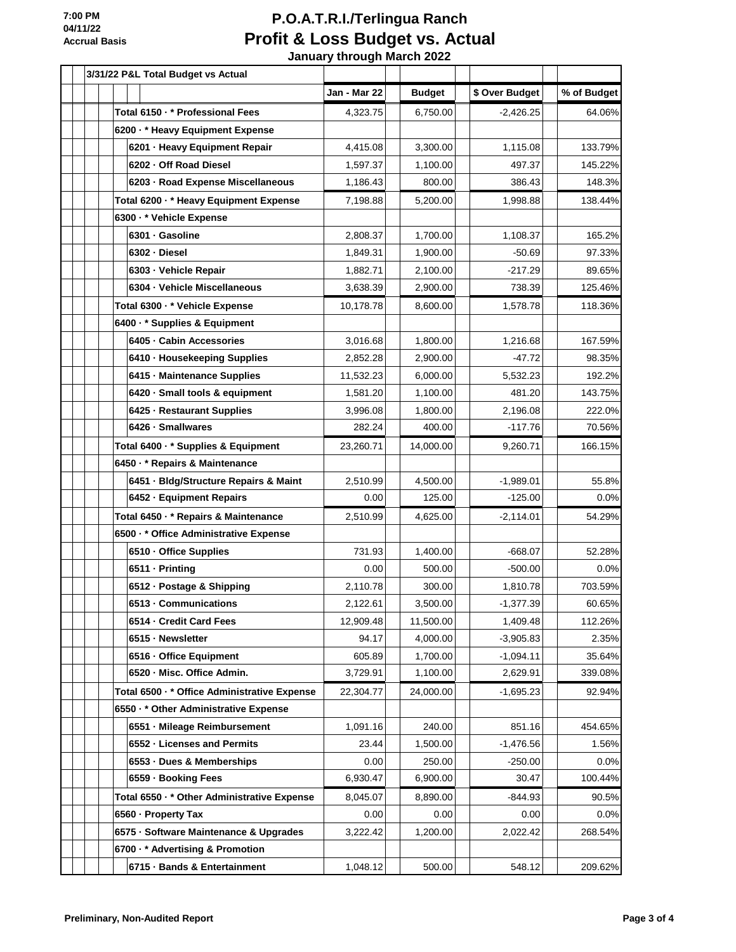|  |  | 3/31/22 P&L Total Budget vs Actual           |              |               |                |             |
|--|--|----------------------------------------------|--------------|---------------|----------------|-------------|
|  |  |                                              | Jan - Mar 22 | <b>Budget</b> | \$ Over Budget | % of Budget |
|  |  | Total 6150 · * Professional Fees             | 4,323.75     | 6,750.00      | $-2,426.25$    | 64.06%      |
|  |  | 6200 · * Heavy Equipment Expense             |              |               |                |             |
|  |  | 6201 - Heavy Equipment Repair                | 4,415.08     | 3,300.00      | 1,115.08       | 133.79%     |
|  |  | 6202 Off Road Diesel                         | 1,597.37     | 1,100.00      | 497.37         | 145.22%     |
|  |  | 6203 · Road Expense Miscellaneous            | 1,186.43     | 800.00        | 386.43         | 148.3%      |
|  |  | Total 6200 - * Heavy Equipment Expense       | 7,198.88     | 5,200.00      | 1,998.88       | 138.44%     |
|  |  | 6300 · * Vehicle Expense                     |              |               |                |             |
|  |  | 6301 · Gasoline                              | 2,808.37     | 1,700.00      | 1,108.37       | 165.2%      |
|  |  | 6302 · Diesel                                | 1,849.31     | 1,900.00      | $-50.69$       | 97.33%      |
|  |  | 6303 - Vehicle Repair                        | 1,882.71     | 2,100.00      | $-217.29$      | 89.65%      |
|  |  | 6304 · Vehicle Miscellaneous                 | 3,638.39     | 2,900.00      | 738.39         | 125.46%     |
|  |  | Total 6300 · * Vehicle Expense               | 10,178.78    | 8,600.00      | 1,578.78       | 118.36%     |
|  |  | 6400 · * Supplies & Equipment                |              |               |                |             |
|  |  | 6405 - Cabin Accessories                     | 3,016.68     | 1,800.00      | 1,216.68       | 167.59%     |
|  |  | 6410 · Housekeeping Supplies                 | 2,852.28     | 2,900.00      | $-47.72$       | 98.35%      |
|  |  | 6415 - Maintenance Supplies                  | 11,532.23    | 6,000.00      | 5,532.23       | 192.2%      |
|  |  | 6420 · Small tools & equipment               | 1,581.20     | 1,100.00      | 481.20         | 143.75%     |
|  |  | 6425 - Restaurant Supplies                   | 3,996.08     | 1,800.00      | 2,196.08       | 222.0%      |
|  |  | 6426 · Smallwares                            | 282.24       | 400.00        | -117.76        | 70.56%      |
|  |  | Total 6400 · * Supplies & Equipment          | 23,260.71    | 14,000.00     | 9,260.71       | 166.15%     |
|  |  | 6450 · * Repairs & Maintenance               |              |               |                |             |
|  |  | 6451 - Bldg/Structure Repairs & Maint        | 2,510.99     | 4,500.00      | $-1,989.01$    | 55.8%       |
|  |  | 6452 - Equipment Repairs                     | 0.00         | 125.00        | $-125.00$      | 0.0%        |
|  |  | Total 6450 · * Repairs & Maintenance         | 2,510.99     | 4,625.00      | $-2,114.01$    | 54.29%      |
|  |  | 6500 · * Office Administrative Expense       |              |               |                |             |
|  |  | 6510 - Office Supplies                       | 731.93       | 1,400.00      | $-668.07$      | 52.28%      |
|  |  | 6511 - Printing                              | 0.00         | 500.00        | $-500.00$      | 0.0%        |
|  |  | 6512 · Postage & Shipping                    | 2,110.78     | 300.00        | 1,810.78       | 703.59%     |
|  |  | 6513 - Communications                        | 2,122.61     | 3,500.00      | $-1,377.39$    | 60.65%      |
|  |  | 6514 - Credit Card Fees                      | 12,909.48    | 11,500.00     | 1,409.48       | 112.26%     |
|  |  | 6515 - Newsletter                            | 94.17        | 4,000.00      | $-3,905.83$    | 2.35%       |
|  |  | 6516 - Office Equipment                      | 605.89       | 1,700.00      | $-1,094.11$    | 35.64%      |
|  |  | 6520 - Misc. Office Admin.                   | 3,729.91     | 1,100.00      | 2,629.91       | 339.08%     |
|  |  | Total 6500 · * Office Administrative Expense | 22,304.77    | 24,000.00     | $-1,695.23$    | 92.94%      |
|  |  | 6550 · * Other Administrative Expense        |              |               |                |             |
|  |  | 6551 · Mileage Reimbursement                 | 1,091.16     | 240.00        | 851.16         | 454.65%     |
|  |  | 6552 · Licenses and Permits                  | 23.44        | 1,500.00      | $-1,476.56$    | 1.56%       |
|  |  | 6553 · Dues & Memberships                    | 0.00         | 250.00        | $-250.00$      | 0.0%        |
|  |  | 6559 - Booking Fees                          | 6,930.47     | 6,900.00      | 30.47          | 100.44%     |
|  |  | Total 6550 · * Other Administrative Expense  | 8,045.07     | 8,890.00      | $-844.93$      | 90.5%       |
|  |  | 6560 - Property Tax                          | 0.00         | 0.00          | 0.00           | 0.0%        |
|  |  | 6575 · Software Maintenance & Upgrades       | 3,222.42     | 1,200.00      | 2,022.42       | 268.54%     |
|  |  | 6700 · * Advertising & Promotion             |              |               |                |             |
|  |  | 6715 · Bands & Entertainment                 | 1,048.12     | 500.00        | 548.12         | 209.62%     |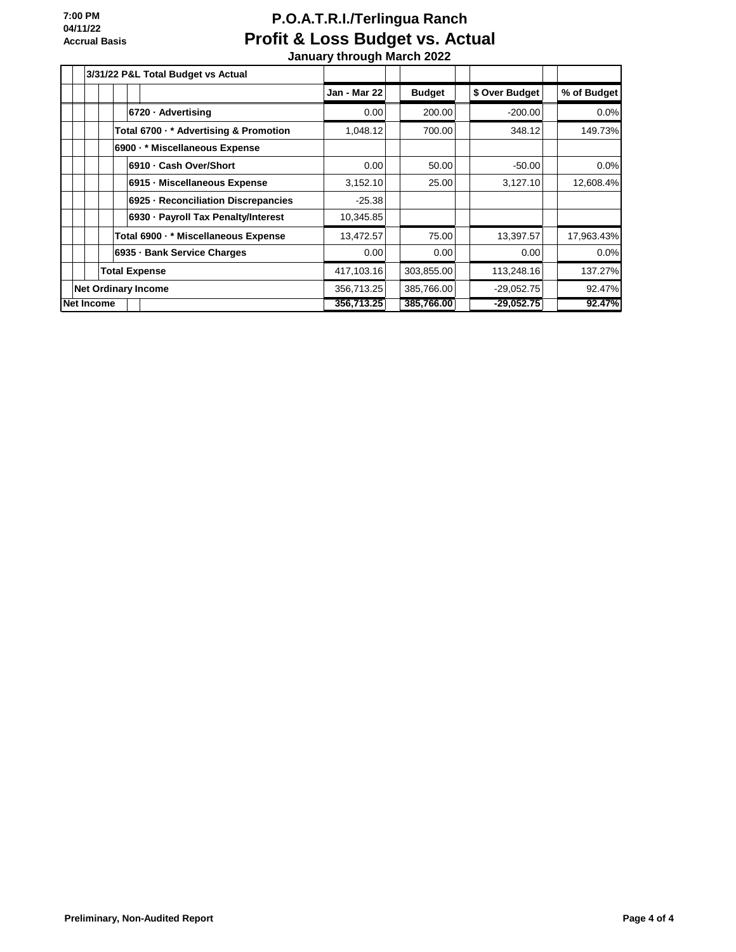|                            |                   |                        | 3/31/22 P&L Total Budget vs Actual     |                     |               |                |             |
|----------------------------|-------------------|------------------------|----------------------------------------|---------------------|---------------|----------------|-------------|
|                            |                   |                        |                                        | <b>Jan - Mar 22</b> | <b>Budget</b> | \$ Over Budget | % of Budget |
|                            |                   |                        | 6720 - Advertising                     | 0.00                | 200.00        | $-200.00$      | 0.0%        |
|                            |                   |                        | Total 6700 · * Advertising & Promotion | 1,048.12            | 700.00        | 348.12         | 149.73%     |
|                            |                   |                        | 6900 · * Miscellaneous Expense         |                     |               |                |             |
|                            |                   | 6910 - Cash Over/Short |                                        | 0.00                | 50.00         | $-50.00$       | 0.0%        |
|                            |                   |                        | 6915 - Miscellaneous Expense           | 3,152.10            | 25.00         | 3,127.10       | 12,608.4%   |
|                            |                   |                        | 6925 - Reconciliation Discrepancies    | $-25.38$            |               |                |             |
|                            |                   |                        | 6930 · Payroll Tax Penalty/Interest    | 10,345.85           |               |                |             |
|                            |                   |                        | Total 6900 · * Miscellaneous Expense   | 13,472.57           | 75.00         | 13,397.57      | 17,963.43%  |
|                            |                   |                        | 6935 - Bank Service Charges            | 0.00                | 0.00          | 0.00           | 0.0%        |
|                            |                   | <b>Total Expense</b>   |                                        | 417,103.16          | 303,855.00    | 113,248.16     | 137.27%     |
| <b>Net Ordinary Income</b> |                   |                        | 356,713.25                             | 385,766.00          | $-29,052.75$  | 92.47%         |             |
|                            | <b>Net Income</b> |                        |                                        | 356,713.25          | 385,766.00    | $-29,052.75$   | 92.47%      |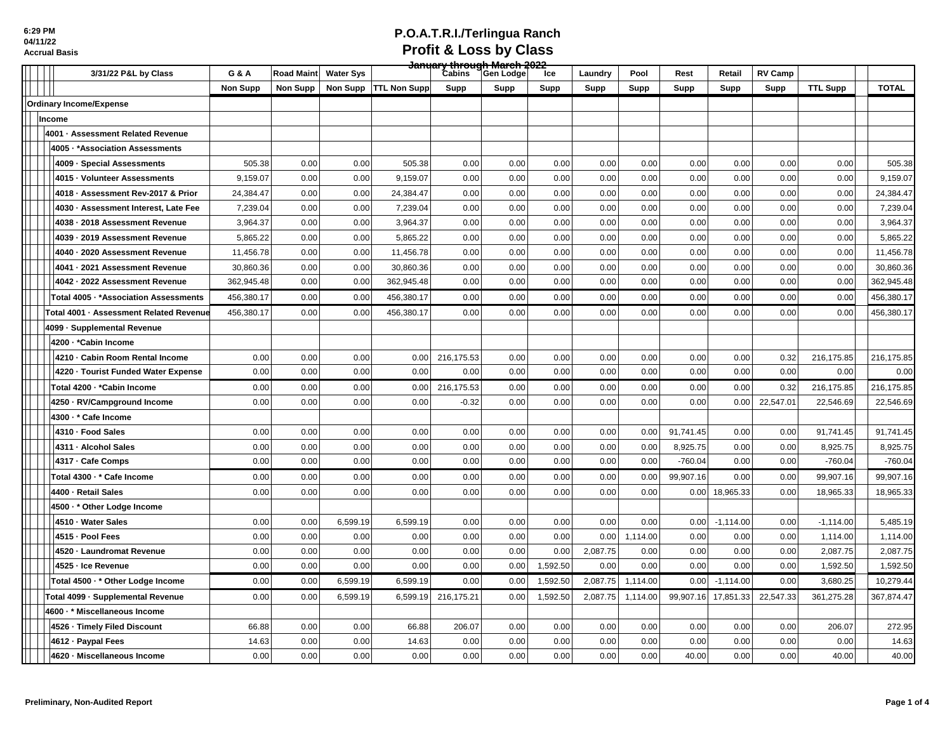| 3/31/22 P&L by Class                    | G & A           | <b>Road Maint</b> | <b>Water Sys</b> |                     | <del>January through March 2022</del><br>Cabins     Gen Lodge |      | Ice      | Laundry  | Pool     | Rest      | Retail      | <b>RV Camp</b> |                 |              |
|-----------------------------------------|-----------------|-------------------|------------------|---------------------|---------------------------------------------------------------|------|----------|----------|----------|-----------|-------------|----------------|-----------------|--------------|
|                                         | <b>Non Supp</b> | Non Supp          | Non Supp         | <b>TTL Non Supp</b> | Supp                                                          | Supp | Supp     | Supp     | Supp     | Supp      | Supp        | Supp           | <b>TTL Supp</b> | <b>TOTAL</b> |
| <b>Ordinary Income/Expense</b>          |                 |                   |                  |                     |                                                               |      |          |          |          |           |             |                |                 |              |
| Income                                  |                 |                   |                  |                     |                                                               |      |          |          |          |           |             |                |                 |              |
| 4001 · Assessment Related Revenue       |                 |                   |                  |                     |                                                               |      |          |          |          |           |             |                |                 |              |
| 4005 · * Association Assessments        |                 |                   |                  |                     |                                                               |      |          |          |          |           |             |                |                 |              |
| 4009 · Special Assessments              | 505.38          | 0.00              | 0.00             | 505.38              | 0.00                                                          | 0.00 | 0.00     | 0.00     | 0.00     | 0.00      | 0.00        | 0.00           | 0.00            | 505.38       |
| 4015 · Volunteer Assessments            | 9,159.07        | 0.00              | 0.00             | 9,159.07            | 0.00                                                          | 0.00 | 0.00     | 0.00     | 0.00     | 0.00      | 0.00        | 0.00           | 0.00            | 9,159.07     |
| 4018 · Assessment Rev-2017 & Prior      | 24,384.47       | 0.00              | 0.00             | 24,384.47           | 0.00                                                          | 0.00 | 0.00     | 0.00     | 0.00     | 0.00      | 0.00        | 0.00           | 0.00            | 24,384.47    |
| 4030 · Assessment Interest, Late Fee    | 7,239.04        | 0.00              | 0.00             | 7,239.04            | 0.00                                                          | 0.00 | 0.00     | 0.00     | 0.00     | 0.00      | 0.00        | 0.00           | 0.00            | 7,239.04     |
| 4038 · 2018 Assessment Revenue          | 3,964.37        | 0.00              | 0.00             | 3,964.37            | 0.00                                                          | 0.00 | 0.00     | 0.00     | 0.00     | 0.00      | 0.00        | 0.00           | 0.00            | 3,964.37     |
| 4039 - 2019 Assessment Revenue          | 5,865.22        | 0.00              | 0.00             | 5,865.22            | 0.00                                                          | 0.00 | 0.00     | 0.00     | 0.00     | 0.00      | 0.00        | 0.00           | 0.00            | 5,865.22     |
| 4040 · 2020 Assessment Revenue          | 11,456.78       | 0.00              | 0.00             | 11,456.78           | 0.00                                                          | 0.00 | 0.00     | 0.00     | 0.00     | 0.00      | 0.00        | 0.00           | 0.00            | 11,456.78    |
| 4041 · 2021 Assessment Revenue          | 30,860.36       | 0.00              | 0.00             | 30,860.36           | 0.00                                                          | 0.00 | 0.00     | 0.00     | 0.00     | 0.00      | 0.00        | 0.00           | 0.00            | 30,860.36    |
| 4042 · 2022 Assessment Revenue          | 362,945.48      | 0.00              | 0.00             | 362,945.48          | 0.00                                                          | 0.00 | 0.00     | 0.00     | 0.00     | 0.00      | 0.00        | 0.00           | 0.00            | 362,945.48   |
| Total 4005 · * Association Assessments  | 456,380.17      | 0.00              | 0.00             | 456,380.17          | 0.00                                                          | 0.00 | 0.00     | 0.00     | 0.00     | 0.00      | 0.00        | 0.00           | 0.00            | 456,380.17   |
| Total 4001 - Assessment Related Revenue | 456,380.17      | 0.00              | 0.00             | 456,380.17          | 0.00                                                          | 0.00 | 0.00     | 0.00     | 0.00     | 0.00      | 0.00        | 0.00           | 0.00            | 456,380.17   |
| 4099 - Supplemental Revenue             |                 |                   |                  |                     |                                                               |      |          |          |          |           |             |                |                 |              |
| 4200 · * Cabin Income                   |                 |                   |                  |                     |                                                               |      |          |          |          |           |             |                |                 |              |
| 4210 - Cabin Room Rental Income         | 0.00            | 0.00              | 0.00             | 0.00                | 216,175.53                                                    | 0.00 | 0.00     | 0.00     | 0.00     | 0.00      | 0.00        | 0.32           | 216,175.85      | 216,175.85   |
| 4220 · Tourist Funded Water Expense     | 0.00            | 0.00              | 0.00             | 0.00                | 0.00                                                          | 0.00 | 0.00     | 0.00     | 0.00     | 0.00      | 0.00        | 0.00           | 0.00            | 0.00         |
| Total 4200 · *Cabin Income              | 0.00            | 0.00              | 0.00             | 0.00                | 216, 175.53                                                   | 0.00 | 0.00     | 0.00     | 0.00     | 0.00      | 0.00        | 0.32           | 216,175.85      | 216,175.85   |
| 4250 - RV/Campground Income             | 0.00            | 0.00              | 0.00             | 0.00                | $-0.32$                                                       | 0.00 | 0.00     | 0.00     | 0.00     | 0.00      | 0.00        | 22,547.01      | 22,546.69       | 22,546.69    |
| 4300 · * Cafe Income                    |                 |                   |                  |                     |                                                               |      |          |          |          |           |             |                |                 |              |
| 4310 - Food Sales                       | 0.00            | 0.00              | 0.00             | 0.00                | 0.00                                                          | 0.00 | 0.00     | 0.00     | 0.00     | 91,741.45 | 0.00        | 0.00           | 91,741.45       | 91,741.45    |
| 4311 · Alcohol Sales                    | 0.00            | 0.00              | 0.00             | 0.00                | 0.00                                                          | 0.00 | 0.00     | 0.00     | 0.00     | 8,925.75  | 0.00        | 0.00           | 8,925.75        | 8,925.75     |
| 4317 - Cafe Comps                       | 0.00            | 0.00              | 0.00             | 0.00                | 0.00                                                          | 0.00 | 0.00     | 0.00     | 0.00     | $-760.04$ | 0.00        | 0.00           | $-760.04$       | $-760.04$    |
| Total 4300 · * Cafe Income              | 0.00            | 0.00              | 0.00             | 0.00                | 0.00                                                          | 0.00 | 0.00     | 0.00     | 0.00     | 99,907.16 | 0.00        | 0.00           | 99,907.16       | 99,907.16    |
| 4400 - Retail Sales                     | 0.00            | 0.00              | 0.00             | 0.00                | 0.00                                                          | 0.00 | 0.00     | 0.00     | 0.00     | 0.00      | 18,965.33   | 0.00           | 18,965.33       | 18,965.33    |
| 4500 · * Other Lodge Income             |                 |                   |                  |                     |                                                               |      |          |          |          |           |             |                |                 |              |
| 4510 · Water Sales                      | 0.00            | 0.00              | 6,599.19         | 6,599.19            | 0.00                                                          | 0.00 | 0.00     | 0.00     | 0.00     | 0.00      | $-1,114.00$ | 0.00           | $-1,114.00$     | 5,485.19     |
| 4515 · Pool Fees                        | 0.00            | 0.00              | 0.00             | 0.00                | 0.00                                                          | 0.00 | 0.00     | 0.00     | 1,114.00 | 0.00      | 0.00        | 0.00           | 1,114.00        | 1,114.00     |
| 4520 - Laundromat Revenue               | 0.00            | 0.00              | 0.00             | 0.00                | 0.00                                                          | 0.00 | 0.00     | 2,087.75 | 0.00     | 0.00      | 0.00        | 0.00           | 2,087.75        | 2,087.75     |
| 4525 - Ice Revenue                      | 0.00            | 0.00              | 0.00             | 0.00                | 0.00                                                          | 0.00 | 1,592.50 | 0.00     | 0.00     | 0.00      | 0.00        | 0.00           | 1,592.50        | 1,592.50     |
| Total 4500 · * Other Lodge Income       | 0.00            | 0.00              | 6,599.19         | 6,599.19            | 0.00                                                          | 0.00 | 1,592.50 | 2,087.75 | 1,114.00 | 0.00      | $-1,114.00$ | 0.00           | 3,680.25        | 10,279.44    |
| Total 4099 - Supplemental Revenue       | 0.00            | 0.00              | 6,599.19         | 6,599.19            | 216,175.21                                                    | 0.00 | 1,592.50 | 2,087.75 | 1,114.00 | 99,907.16 | 17,851.33   | 22,547.33      | 361,275.28      | 367,874.47   |
| 4600 · * Miscellaneous Income           |                 |                   |                  |                     |                                                               |      |          |          |          |           |             |                |                 |              |
| 4526 · Timely Filed Discount            | 66.88           | 0.00              | 0.00             | 66.88               | 206.07                                                        | 0.00 | 0.00     | 0.00     | 0.00     | 0.00      | 0.00        | 0.00           | 206.07          | 272.95       |
| 4612 - Paypal Fees                      | 14.63           | 0.00              | 0.00             | 14.63               | 0.00                                                          | 0.00 | 0.00     | 0.00     | 0.00     | 0.00      | 0.00        | 0.00           | 0.00            | 14.63        |
| 4620 · Miscellaneous Income             | 0.00            | 0.00              | 0.00             | 0.00                | 0.00                                                          | 0.00 | 0.00     | 0.00     | 0.00     | 40.00     | 0.00        | 0.00           | 40.00           | 40.00        |
|                                         |                 |                   |                  |                     |                                                               |      |          |          |          |           |             |                |                 |              |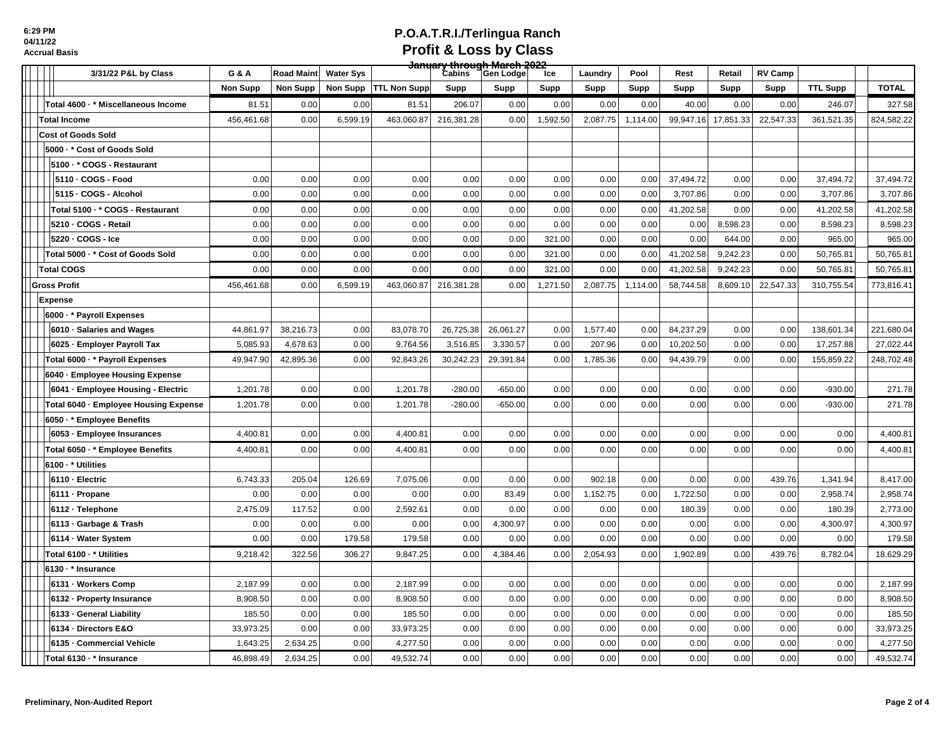| 3/31/22 P&L by Class                  | G & A           | Road Maint | <b>Water Sys</b> |                         | <del>January through March 2022</del><br>Cabins Gen Lodge |           | Ice      | Laundry  | Pool     | Rest      | Retail              | <b>RV Camp</b> |                 |              |
|---------------------------------------|-----------------|------------|------------------|-------------------------|-----------------------------------------------------------|-----------|----------|----------|----------|-----------|---------------------|----------------|-----------------|--------------|
|                                       | <b>Non Supp</b> | Non Supp   |                  | Non Supp   TTL Non Supp | Supp                                                      | Supp      | Supp     | Supp     | Supp     | Supp      | Supp                | Supp           | <b>TTL Supp</b> | <b>TOTAL</b> |
| Total 4600 · * Miscellaneous Income   | 81.51           | 0.00       | 0.00             | 81.51                   | 206.07                                                    | 0.00      | 0.00     | 0.00     | 0.00     | 40.00     | 0.00                | 0.00           | 246.07          | 327.58       |
| <b>Total Income</b>                   | 456,461.68      | 0.00       | 6,599.19         | 463,060.87              | 216,381.28                                                | 0.00      | 1,592.50 | 2,087.75 | 1,114.00 |           | 99,947.16 17,851.33 | 22,547.33      | 361,521.35      | 824,582.22   |
| <b>Cost of Goods Sold</b>             |                 |            |                  |                         |                                                           |           |          |          |          |           |                     |                |                 |              |
| 5000 · * Cost of Goods Sold           |                 |            |                  |                         |                                                           |           |          |          |          |           |                     |                |                 |              |
| 5100 · * COGS - Restaurant            |                 |            |                  |                         |                                                           |           |          |          |          |           |                     |                |                 |              |
| 5110 - COGS - Food                    | 0.00            | 0.00       | 0.00             | 0.00                    | 0.00                                                      | 0.00      | 0.00     | 0.00     | 0.00     | 37,494.72 | 0.00                | 0.00           | 37,494.72       | 37,494.72    |
| 5115 - COGS - Alcohol                 | 0.00            | 0.00       | 0.00             | 0.00                    | 0.00                                                      | 0.00      | 0.00     | 0.00     | 0.00     | 3,707.86  | 0.00                | 0.00           | 3,707.86        | 3,707.86     |
| Total 5100 - * COGS - Restaurant      | 0.00            | 0.00       | 0.00             | 0.00                    | 0.00                                                      | 0.00      | 0.00     | 0.00     | 0.00     | 41,202.58 | 0.00                | 0.00           | 41,202.58       | 41,202.58    |
| 5210 - COGS - Retail                  | 0.00            | 0.00       | 0.00             | 0.00                    | 0.00                                                      | 0.00      | 0.00     | 0.00     | 0.00     | 0.00      | 8,598.23            | 0.00           | 8,598.23        | 8,598.23     |
| 5220 - COGS - Ice                     | 0.00            | 0.00       | 0.00             | 0.00                    | 0.00                                                      | 0.00      | 321.00   | 0.00     | 0.00     | 0.00      | 644.00              | 0.00           | 965.00          | 965.00       |
| Total 5000 - * Cost of Goods Sold     | 0.00            | 0.00       | 0.00             | 0.00                    | 0.00                                                      | 0.00      | 321.00   | 0.00     | 0.00     | 41,202.58 | 9,242.23            | 0.00           | 50,765.81       | 50,765.81    |
| <b>Total COGS</b>                     | 0.00            | 0.00       | 0.00             | 0.00                    | 0.00                                                      | 0.00      | 321.00   | 0.00     | 0.00     | 41,202.58 | 9,242.23            | 0.00           | 50,765.81       | 50,765.81    |
| <b>Gross Profit</b>                   | 456,461.68      | 0.00       | 6,599.19         | 463,060.87              | 216,381.28                                                | 0.00      | 1,271.50 | 2,087.75 | 1,114.00 | 58,744.58 | 8,609.10            | 22,547.33      | 310,755.54      | 773,816.41   |
| <b>Expense</b>                        |                 |            |                  |                         |                                                           |           |          |          |          |           |                     |                |                 |              |
| 6000 · * Payroll Expenses             |                 |            |                  |                         |                                                           |           |          |          |          |           |                     |                |                 |              |
| 6010 · Salaries and Wages             | 44,861.97       | 38,216.73  | 0.00             | 83,078.70               | 26,725.38                                                 | 26,061.27 | 0.00     | 1,577.40 | 0.00     | 84,237.29 | 0.00                | 0.00           | 138,601.34      | 221,680.04   |
| 6025 - Employer Payroll Tax           | 5,085.93        | 4,678.63   | 0.00             | 9,764.56                | 3,516.85                                                  | 3,330.57  | 0.00     | 207.96   | 0.00     | 10,202.50 | 0.00                | 0.00           | 17,257.88       | 27,022.44    |
| Total 6000 · * Payroll Expenses       | 49,947.90       | 42,895.36  | 0.00             | 92,843.26               | 30,242.23                                                 | 29,391.84 | 0.00     | 1,785.36 | 0.00     | 94,439.79 | 0.00                | 0.00           | 155,859.22      | 248,702.48   |
| 6040 · Employee Housing Expense       |                 |            |                  |                         |                                                           |           |          |          |          |           |                     |                |                 |              |
| 6041 - Employee Housing - Electric    | 1,201.78        | 0.00       | 0.00             | 1,201.78                | $-280.00$                                                 | $-650.00$ | 0.00     | 0.00     | 0.00     | 0.00      | 0.00                | 0.00           | $-930.00$       | 271.78       |
| Total 6040 - Employee Housing Expense | 1,201.78        | 0.00       | 0.00             | 1,201.78                | $-280.00$                                                 | $-650.00$ | 0.00     | 0.00     | 0.00     | 0.00      | 0.00                | 0.00           | $-930.00$       | 271.78       |
| 6050 · * Employee Benefits            |                 |            |                  |                         |                                                           |           |          |          |          |           |                     |                |                 |              |
| 6053 - Employee Insurances            | 4,400.81        | 0.00       | 0.00             | 4,400.81                | 0.00                                                      | 0.00      | 0.00     | 0.00     | 0.00     | 0.00      | 0.00                | 0.00           | 0.00            | 4,400.81     |
| Total 6050 · * Employee Benefits      | 4,400.81        | 0.00       | 0.00             | 4,400.81                | 0.00                                                      | 0.00      | 0.00     | 0.00     | 0.00     | 0.00      | 0.00                | 0.00           | 0.00            | 4,400.81     |
| 6100 · * Utilities                    |                 |            |                  |                         |                                                           |           |          |          |          |           |                     |                |                 |              |
| 6110 - Electric                       | 6,743.33        | 205.04     | 126.69           | 7,075.06                | 0.00                                                      | 0.00      | 0.00     | 902.18   | 0.00     | 0.00      | 0.00                | 439.76         | 1,341.94        | 8,417.00     |
| 6111 - Propane                        | 0.00            | 0.00       | 0.00             | 0.00                    | 0.00                                                      | 83.49     | 0.00     | 1,152.75 | 0.00     | 1,722.50  | 0.00                | 0.00           | 2,958.74        | 2,958.74     |
| 6112 - Telephone                      | 2,475.09        | 117.52     | 0.00             | 2,592.61                | 0.00                                                      | 0.00      | 0.00     | 0.00     | 0.00     | 180.39    | 0.00                | 0.00           | 180.39          | 2,773.00     |
| 6113 Garbage & Trash                  | 0.00            | 0.00       | 0.00             | 0.00                    | 0.00                                                      | 4,300.97  | 0.00     | 0.00     | 0.00     | 0.00      | 0.00                | 0.00           | 4,300.97        | 4,300.97     |
| 6114 · Water System                   | 0.00            | 0.00       | 179.58           | 179.58                  | 0.00                                                      | 0.00      | 0.00     | 0.00     | 0.00     | 0.00      | 0.00                | 0.00           | 0.00            | 179.58       |
| Total 6100 - * Utilities              | 9,218.42        | 322.56     | 306.27           | 9,847.25                | 0.00                                                      | 4,384.46  | 0.00     | 2,054.93 | 0.00     | 1.902.89  | 0.00                | 439.76         | 8,782.04        | 18,629.29    |
| 6130 · * Insurance                    |                 |            |                  |                         |                                                           |           |          |          |          |           |                     |                |                 |              |
| 6131 - Workers Comp                   | 2,187.99        | 0.00       | 0.00             | 2,187.99                | 0.00                                                      | 0.00      | 0.00     | 0.00     | 0.00     | 0.00      | 0.00                | 0.00           | 0.00            | 2,187.99     |
| 6132 - Property Insurance             | 8,908.50        | 0.00       | 0.00             | 8,908.50                | 0.00                                                      | 0.00      | 0.00     | 0.00     | 0.00     | 0.00      | 0.00                | 0.00           | 0.00            | 8,908.50     |
| 6133 - General Liability              | 185.50          | 0.00       | 0.00             | 185.50                  | 0.00                                                      | 0.00      | 0.00     | 0.00     | 0.00     | 0.00      | 0.00                | 0.00           | 0.00            | 185.50       |
| 6134 - Directors E&O                  | 33,973.25       | 0.00       | 0.00             | 33,973.25               | 0.00                                                      | 0.00      | 0.00     | 0.00     | 0.00     | 0.00      | 0.00                | 0.00           | 0.00            | 33,973.25    |
| 6135 - Commercial Vehicle             | 1,643.25        | 2,634.25   | 0.00             | 4,277.50                | 0.00                                                      | 0.00      | 0.00     | 0.00     | 0.00     | 0.00      | 0.00                | 0.00           | 0.00            | 4,277.50     |
| Total 6130 · * Insurance              | 46.898.49       | 2,634.25   | 0.00             | 49,532.74               | 0.00                                                      | 0.00      | 0.00     | 0.00     | 0.00     | 0.00      | 0.00                | 0.00           | 0.00            | 49,532.74    |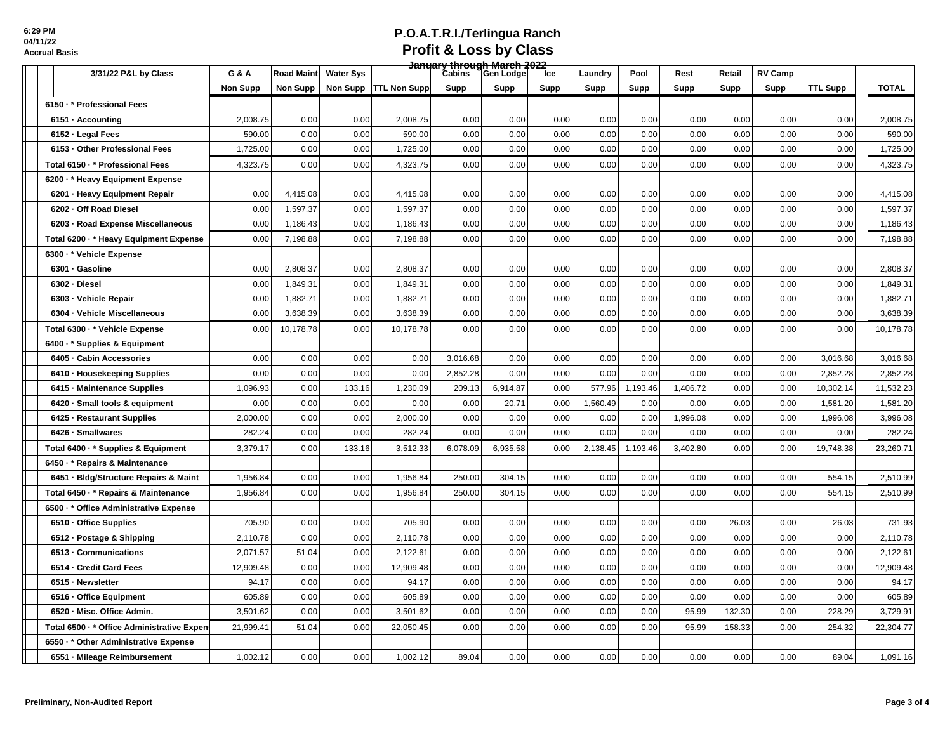| 3/31/22 P&L by Class                        | G & A           | Road Maint | <b>Water Sys</b> |                     | <del>January through March 2022</del><br>Cabins Gen Lodge |          | Ice  | Laundry  | Pool     | Rest     | Retail | <b>RV Camp</b> |                 |              |
|---------------------------------------------|-----------------|------------|------------------|---------------------|-----------------------------------------------------------|----------|------|----------|----------|----------|--------|----------------|-----------------|--------------|
|                                             | <b>Non Supp</b> | Non Supp   | Non Supp         | <b>TTL Non Supp</b> | Supp                                                      | Supp     | Supp | Supp     | Supp     | Supp     | Supp   | Supp           | <b>TTL Supp</b> | <b>TOTAL</b> |
| 6150 · * Professional Fees                  |                 |            |                  |                     |                                                           |          |      |          |          |          |        |                |                 |              |
| 6151 - Accounting                           | 2,008.75        | 0.00       | 0.00             | 2,008.75            | 0.00                                                      | 0.00     | 0.00 | 0.00     | 0.00     | 0.00     | 0.00   | 0.00           | 0.00            | 2,008.75     |
| 6152 - Legal Fees                           | 590.00          | 0.00       | 0.00             | 590.00              | 0.00                                                      | 0.00     | 0.00 | 0.00     | 0.00     | 0.00     | 0.00   | 0.00           | 0.00            | 590.00       |
| 6153 - Other Professional Fees              | 1,725.00        | 0.00       | 0.00             | 1,725.00            | 0.00                                                      | 0.00     | 0.00 | 0.00     | 0.00     | 0.00     | 0.00   | 0.00           | 0.00            | 1,725.00     |
| Total 6150 · * Professional Fees            | 4,323.75        | 0.00       | 0.00             | 4,323.75            | 0.00                                                      | 0.00     | 0.00 | 0.00     | 0.00     | 0.00     | 0.00   | 0.00           | 0.00            | 4,323.75     |
| 6200 · * Heavy Equipment Expense            |                 |            |                  |                     |                                                           |          |      |          |          |          |        |                |                 |              |
| 6201 - Heavy Equipment Repair               | 0.00            | 4,415.08   | 0.00             | 4,415.08            | 0.00                                                      | 0.00     | 0.00 | 0.00     | 0.00     | 0.00     | 0.00   | 0.00           | 0.00            | 4,415.08     |
| 6202 - Off Road Diesel                      | 0.00            | 1,597.37   | 0.00             | 1,597.37            | 0.00                                                      | 0.00     | 0.00 | 0.00     | 0.00     | 0.00     | 0.00   | 0.00           | 0.00            | 1,597.37     |
| 6203 - Road Expense Miscellaneous           | 0.00            | 1,186.43   | 0.00             | 1,186.43            | 0.00                                                      | 0.00     | 0.00 | 0.00     | 0.00     | 0.00     | 0.00   | 0.00           | 0.00            | 1,186.43     |
| Total 6200 · * Heavy Equipment Expense      | 0.00            | 7,198.88   | 0.00             | 7,198.88            | 0.00                                                      | 0.00     | 0.00 | 0.00     | 0.00     | 0.00     | 0.00   | 0.00           | 0.00            | 7,198.88     |
| 6300 · * Vehicle Expense                    |                 |            |                  |                     |                                                           |          |      |          |          |          |        |                |                 |              |
| 6301 - Gasoline                             | 0.00            | 2,808.37   | 0.00             | 2,808.37            | 0.00                                                      | 0.00     | 0.00 | 0.00     | 0.00     | 0.00     | 0.00   | 0.00           | 0.00            | 2,808.37     |
| 6302 - Diesel                               | 0.00            | 1,849.31   | 0.00             | 1,849.31            | 0.00                                                      | 0.00     | 0.00 | 0.00     | 0.00     | 0.00     | 0.00   | 0.00           | 0.00            | 1,849.31     |
| 6303 - Vehicle Repair                       | 0.00            | 1,882.71   | 0.00             | 1,882.71            | 0.00                                                      | 0.00     | 0.00 | 0.00     | 0.00     | 0.00     | 0.00   | 0.00           | 0.00            | 1,882.71     |
| 6304 - Vehicle Miscellaneous                | 0.00            | 3,638.39   | 0.00             | 3,638.39            | 0.00                                                      | 0.00     | 0.00 | 0.00     | 0.00     | 0.00     | 0.00   | 0.00           | 0.00            | 3,638.39     |
| Total 6300 · * Vehicle Expense              | 0.00            | 10,178.78  | 0.00             | 10,178.78           | 0.00                                                      | 0.00     | 0.00 | 0.00     | 0.00     | 0.00     | 0.00   | 0.00           | 0.00            | 10,178.78    |
| 6400 · * Supplies & Equipment               |                 |            |                  |                     |                                                           |          |      |          |          |          |        |                |                 |              |
| 6405 - Cabin Accessories                    | 0.00            | 0.00       | 0.00             | 0.00                | 3,016.68                                                  | 0.00     | 0.00 | 0.00     | 0.00     | 0.00     | 0.00   | 0.00           | 3,016.68        | 3,016.68     |
| 6410 · Housekeeping Supplies                | 0.00            | 0.00       | 0.00             | 0.00                | 2,852.28                                                  | 0.00     | 0.00 | 0.00     | 0.00     | 0.00     | 0.00   | 0.00           | 2,852.28        | 2,852.28     |
| 6415 - Maintenance Supplies                 | 1,096.93        | 0.00       | 133.16           | 1,230.09            | 209.13                                                    | 6,914.87 | 0.00 | 577.96   | 1,193.46 | 1,406.72 | 0.00   | 0.00           | 10,302.14       | 11,532.23    |
| 6420 · Small tools & equipment              | 0.00            | 0.00       | 0.00             | 0.00                | 0.00                                                      | 20.71    | 0.00 | 1,560.49 | 0.00     | 0.00     | 0.00   | 0.00           | 1,581.20        | 1,581.20     |
| 6425 - Restaurant Supplies                  | 2,000.00        | 0.00       | 0.00             | 2,000.00            | 0.00                                                      | 0.00     | 0.00 | 0.00     | 0.00     | 1,996.08 | 0.00   | 0.00           | 1,996.08        | 3,996.08     |
| 6426 · Smallwares                           | 282.24          | 0.00       | 0.00             | 282.24              | 0.00                                                      | 0.00     | 0.00 | 0.00     | 0.00     | 0.00     | 0.00   | 0.00           | 0.00            | 282.24       |
| Total 6400 * Supplies & Equipment           | 3,379.17        | 0.00       | 133.16           | 3,512.33            | 6,078.09                                                  | 6,935.58 | 0.00 | 2,138.45 | 1,193.46 | 3.402.80 | 0.00   | 0.00           | 19,748.38       | 23,260.71    |
| 6450 · * Repairs & Maintenance              |                 |            |                  |                     |                                                           |          |      |          |          |          |        |                |                 |              |
| 6451 · Bidg/Structure Repairs & Maint       | 1,956.84        | 0.00       | 0.00             | 1,956.84            | 250.00                                                    | 304.15   | 0.00 | 0.00     | 0.00     | 0.00     | 0.00   | 0.00           | 554.15          | 2,510.99     |
| Total 6450 · * Repairs & Maintenance        | 1,956.84        | 0.00       | 0.00             | 1,956.84            | 250.00                                                    | 304.15   | 0.00 | 0.00     | 0.00     | 0.00     | 0.00   | 0.00           | 554.15          | 2,510.99     |
| 6500 · * Office Administrative Expense      |                 |            |                  |                     |                                                           |          |      |          |          |          |        |                |                 |              |
| 6510 Office Supplies                        | 705.90          | 0.00       | 0.00             | 705.90              | 0.00                                                      | 0.00     | 0.00 | 0.00     | 0.00     | 0.00     | 26.03  | 0.00           | 26.03           | 731.93       |
| 6512 - Postage & Shipping                   | 2,110.78        | 0.00       | 0.00             | 2,110.78            | 0.00                                                      | 0.00     | 0.00 | 0.00     | 0.00     | 0.00     | 0.00   | 0.00           | 0.00            | 2,110.78     |
| 6513 - Communications                       | 2,071.57        | 51.04      | 0.00             | 2,122.61            | 0.00                                                      | 0.00     | 0.00 | 0.00     | 0.00     | 0.00     | 0.00   | 0.00           | 0.00            | 2,122.61     |
| 6514 - Credit Card Fees                     | 12,909.48       | 0.00       | 0.00             | 12,909.48           | 0.00                                                      | 0.00     | 0.00 | 0.00     | 0.00     | 0.00     | 0.00   | 0.00           | 0.00            | 12,909.48    |
| 6515 - Newsletter                           | 94.17           | 0.00       | 0.00             | 94.17               | 0.00                                                      | 0.00     | 0.00 | 0.00     | 0.00     | 0.00     | 0.00   | 0.00           | 0.00            | 94.17        |
| 6516 - Office Equipment                     | 605.89          | 0.00       | 0.00             | 605.89              | 0.00                                                      | 0.00     | 0.00 | 0.00     | 0.00     | 0.00     | 0.00   | 0.00           | 0.00            | 605.89       |
| 6520 - Misc. Office Admin.                  | 3,501.62        | 0.00       | 0.00             | 3,501.62            | 0.00                                                      | 0.00     | 0.00 | 0.00     | 0.00     | 95.99    | 132.30 | 0.00           | 228.29          | 3,729.91     |
| Total 6500 · * Office Administrative Expen: | 21,999.41       | 51.04      | 0.00             | 22,050.45           | 0.00                                                      | 0.00     | 0.00 | 0.00     | 0.00     | 95.99    | 158.33 | 0.00           | 254.32          | 22,304.77    |
| 6550 . * Other Administrative Expense       |                 |            |                  |                     |                                                           |          |      |          |          |          |        |                |                 |              |
| 6551 - Mileage Reimbursement                | 1,002.12        | 0.00       | 0.00             | 1,002.12            | 89.04                                                     | 0.00     | 0.00 | 0.00     | 0.00     | 0.00     | 0.00   | 0.00           | 89.04           | 1,091.16     |